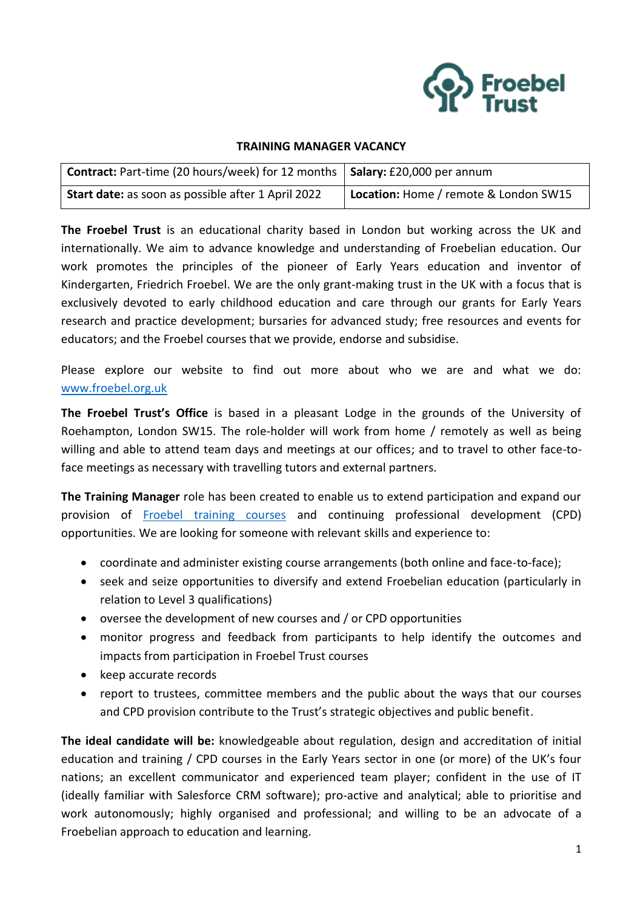

#### **TRAINING MANAGER VACANCY**

| <b>Contract:</b> Part-time (20 hours/week) for 12 months   Salary: £20,000 per annum |                                       |
|--------------------------------------------------------------------------------------|---------------------------------------|
| Start date: as soon as possible after 1 April 2022                                   | Location: Home / remote & London SW15 |

**The Froebel Trust** is an educational charity based in London but working across the UK and internationally. We aim to advance knowledge and understanding of Froebelian education. Our work promotes the principles of the pioneer of Early Years education and inventor of Kindergarten, Friedrich Froebel. We are the only grant-making trust in the UK with a focus that is exclusively devoted to early childhood education and care through our grants for Early Years research and practice development; bursaries for advanced study; free resources and events for educators; and the Froebel courses that we provide, endorse and subsidise.

Please explore our website to find out more about who we are and what we do: [www.froebel.org.uk](http://www.froebel.org.uk/)

**The Froebel Trust's Office** is based in a pleasant Lodge in the grounds of the University of Roehampton, London SW15. The role-holder will work from home / remotely as well as being willing and able to attend team days and meetings at our offices; and to travel to other face-toface meetings as necessary with travelling tutors and external partners.

**The Training Manager** role has been created to enable us to extend participation and expand our provision of [Froebel training courses](https://www.froebel.org.uk/training-and-resources/short-courses) and continuing professional development (CPD) opportunities. We are looking for someone with relevant skills and experience to:

- coordinate and administer existing course arrangements (both online and face-to-face);
- seek and seize opportunities to diversify and extend Froebelian education (particularly in relation to Level 3 qualifications)
- oversee the development of new courses and / or CPD opportunities
- monitor progress and feedback from participants to help identify the outcomes and impacts from participation in Froebel Trust courses
- keep accurate records
- report to trustees, committee members and the public about the ways that our courses and CPD provision contribute to the Trust's strategic objectives and public benefit.

**The ideal candidate will be:** knowledgeable about regulation, design and accreditation of initial education and training / CPD courses in the Early Years sector in one (or more) of the UK's four nations; an excellent communicator and experienced team player; confident in the use of IT (ideally familiar with Salesforce CRM software); pro-active and analytical; able to prioritise and work autonomously; highly organised and professional; and willing to be an advocate of a Froebelian approach to education and learning.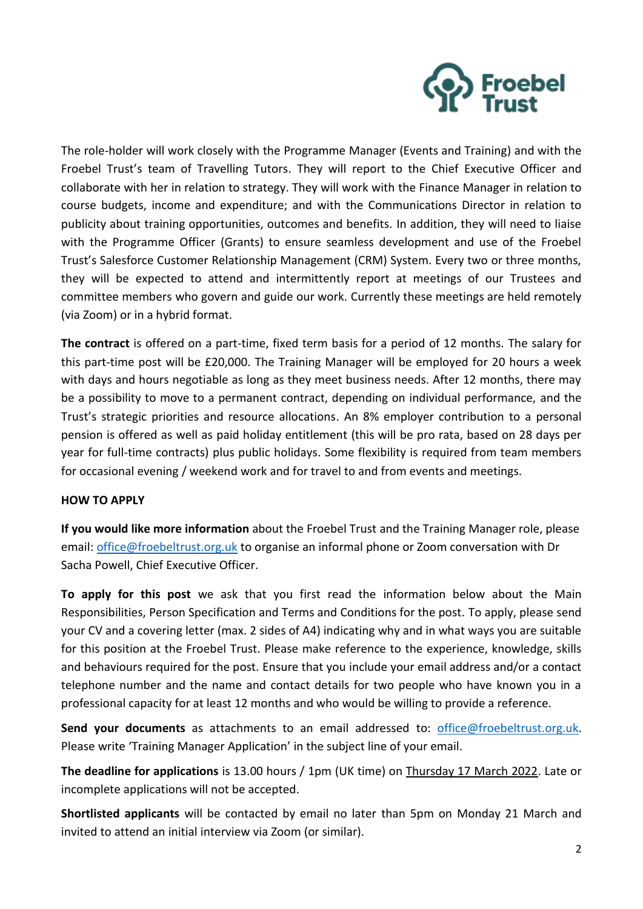

The role-holder will work closely with the Programme Manager (Events and Training) and with the Froebel Trust's team of Travelling Tutors. They will report to the Chief Executive Officer and collaborate with her in relation to strategy. They will work with the Finance Manager in relation to course budgets, income and expenditure; and with the Communications Director in relation to publicity about training opportunities, outcomes and benefits. In addition, they will need to liaise with the Programme Officer (Grants) to ensure seamless development and use of the Froebel Trust's Salesforce Customer Relationship Management (CRM) System. Every two or three months, they will be expected to attend and intermittently report at meetings of our Trustees and committee members who govern and guide our work. Currently these meetings are held remotely (via Zoom) or in a hybrid format.

**The contract** is offered on a part-time, fixed term basis for a period of 12 months. The salary for this part-time post will be £20,000. The Training Manager will be employed for 20 hours a week with days and hours negotiable as long as they meet business needs. After 12 months, there may be a possibility to move to a permanent contract, depending on individual performance, and the Trust's strategic priorities and resource allocations. An 8% employer contribution to a personal pension is offered as well as paid holiday entitlement (this will be pro rata, based on 28 days per year for full-time contracts) plus public holidays. Some flexibility is required from team members for occasional evening / weekend work and for travel to and from events and meetings.

#### **HOW TO APPLY**

**If you would like more information** about the Froebel Trust and the Training Manager role, please email: [office@froebeltrust.org.uk](mailto:office@froebeltrust.org.uk) to organise an informal phone or Zoom conversation with Dr Sacha Powell, Chief Executive Officer.

**To apply for this post** we ask that you first read the information below about the Main Responsibilities, Person Specification and Terms and Conditions for the post. To apply, please send your CV and a covering letter (max. 2 sides of A4) indicating why and in what ways you are suitable for this position at the Froebel Trust. Please make reference to the experience, knowledge, skills and behaviours required for the post. Ensure that you include your email address and/or a contact telephone number and the name and contact details for two people who have known you in a professional capacity for at least 12 months and who would be willing to provide a reference.

**Send your documents** as attachments to an email addressed to: [office@froebeltrust.org.uk.](mailto:office@froebeltrust.org.uk) Please write 'Training Manager Application' in the subject line of your email.

**The deadline for applications** is 13.00 hours / 1pm (UK time) on Thursday 17 March 2022. Late or incomplete applications will not be accepted.

**Shortlisted applicants** will be contacted by email no later than 5pm on Monday 21 March and invited to attend an initial interview via Zoom (or similar).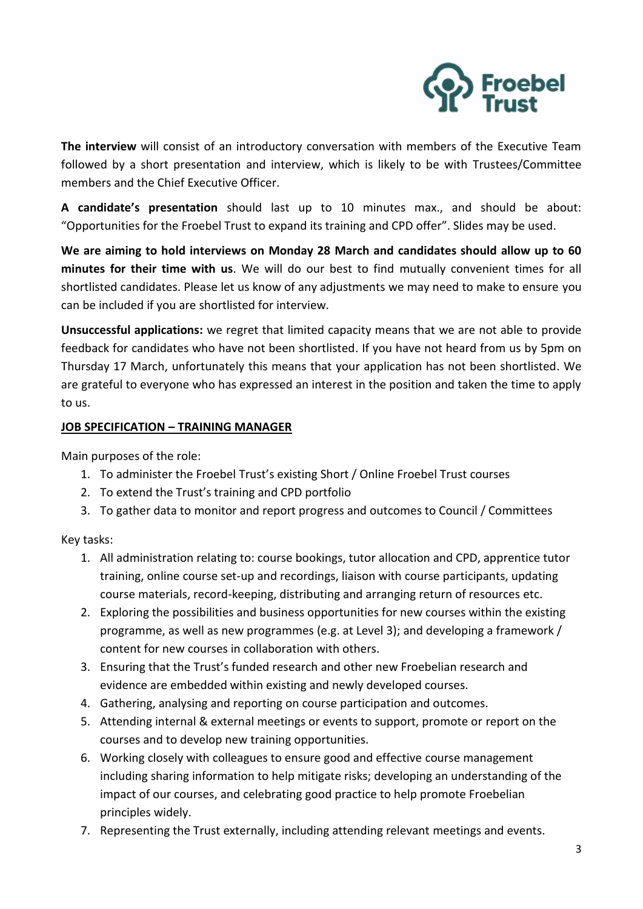

**The interview** will consist of an introductory conversation with members of the Executive Team followed by a short presentation and interview, which is likely to be with Trustees/Committee members and the Chief Executive Officer.

**A candidate's presentation** should last up to 10 minutes max., and should be about: "Opportunities for the Froebel Trust to expand its training and CPD offer". Slides may be used.

**We are aiming to hold interviews on Monday 28 March and candidates should allow up to 60 minutes for their time with us**. We will do our best to find mutually convenient times for all shortlisted candidates. Please let us know of any adjustments we may need to make to ensure you can be included if you are shortlisted for interview.

**Unsuccessful applications:** we regret that limited capacity means that we are not able to provide feedback for candidates who have not been shortlisted. If you have not heard from us by 5pm on Thursday 17 March, unfortunately this means that your application has not been shortlisted. We are grateful to everyone who has expressed an interest in the position and taken the time to apply to us.

#### **JOB SPECIFICATION – TRAINING MANAGER**

Main purposes of the role:

- 1. To administer the Froebel Trust's existing Short / Online Froebel Trust courses
- 2. To extend the Trust's training and CPD portfolio
- 3. To gather data to monitor and report progress and outcomes to Council / Committees

# Key tasks:

- 1. All administration relating to: course bookings, tutor allocation and CPD, apprentice tutor training, online course set-up and recordings, liaison with course participants, updating course materials, record-keeping, distributing and arranging return of resources etc.
- 2. Exploring the possibilities and business opportunities for new courses within the existing programme, as well as new programmes (e.g. at Level 3); and developing a framework / content for new courses in collaboration with others.
- 3. Ensuring that the Trust's funded research and other new Froebelian research and evidence are embedded within existing and newly developed courses.
- 4. Gathering, analysing and reporting on course participation and outcomes.
- 5. Attending internal & external meetings or events to support, promote or report on the courses and to develop new training opportunities.
- 6. Working closely with colleagues to ensure good and effective course management including sharing information to help mitigate risks; developing an understanding of the impact of our courses, and celebrating good practice to help promote Froebelian principles widely.
- 7. Representing the Trust externally, including attending relevant meetings and events.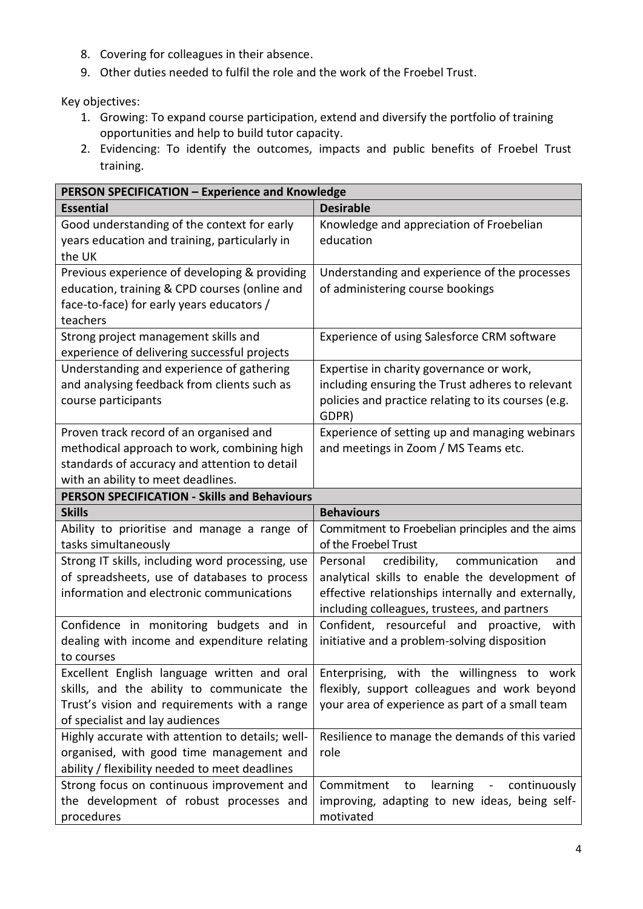- 8. Covering for colleagues in their absence.
- 9. Other duties needed to fulfil the role and the work of the Froebel Trust.

Key objectives:

- 1. Growing: To expand course participation, extend and diversify the portfolio of training opportunities and help to build tutor capacity.
- 2. Evidencing: To identify the outcomes, impacts and public benefits of Froebel Trust training.

| PERSON SPECIFICATION - Experience and Knowledge                                                                                                                               |                                                                                                                                                                                                       |
|-------------------------------------------------------------------------------------------------------------------------------------------------------------------------------|-------------------------------------------------------------------------------------------------------------------------------------------------------------------------------------------------------|
| <b>Essential</b>                                                                                                                                                              | <b>Desirable</b>                                                                                                                                                                                      |
| Good understanding of the context for early<br>years education and training, particularly in<br>the UK                                                                        | Knowledge and appreciation of Froebelian<br>education                                                                                                                                                 |
| Previous experience of developing & providing<br>education, training & CPD courses (online and<br>face-to-face) for early years educators /<br>teachers                       | Understanding and experience of the processes<br>of administering course bookings                                                                                                                     |
| Strong project management skills and<br>experience of delivering successful projects                                                                                          | Experience of using Salesforce CRM software                                                                                                                                                           |
| Understanding and experience of gathering<br>and analysing feedback from clients such as<br>course participants                                                               | Expertise in charity governance or work,<br>including ensuring the Trust adheres to relevant<br>policies and practice relating to its courses (e.g.<br>GDPR)                                          |
| Proven track record of an organised and<br>methodical approach to work, combining high<br>standards of accuracy and attention to detail<br>with an ability to meet deadlines. | Experience of setting up and managing webinars<br>and meetings in Zoom / MS Teams etc.                                                                                                                |
| <b>PERSON SPECIFICATION - Skills and Behaviours</b>                                                                                                                           |                                                                                                                                                                                                       |
| <b>Skills</b>                                                                                                                                                                 | <b>Behaviours</b>                                                                                                                                                                                     |
| Ability to prioritise and manage a range of<br>tasks simultaneously                                                                                                           | Commitment to Froebelian principles and the aims<br>of the Froebel Trust                                                                                                                              |
|                                                                                                                                                                               |                                                                                                                                                                                                       |
| Strong IT skills, including word processing, use<br>of spreadsheets, use of databases to process<br>information and electronic communications                                 | credibility, communication<br>Personal<br>and<br>analytical skills to enable the development of<br>effective relationships internally and externally,<br>including colleagues, trustees, and partners |
| Confidence in monitoring budgets and in<br>dealing with income and expenditure relating<br>to courses                                                                         | Confident, resourceful and proactive, with<br>initiative and a problem-solving disposition                                                                                                            |
| Excellent English language written and oral<br>skills, and the ability to communicate the<br>Trust's vision and requirements with a range<br>of specialist and lay audiences  | Enterprising, with the willingness to work<br>flexibly, support colleagues and work beyond<br>your area of experience as part of a small team                                                         |
| Highly accurate with attention to details; well-<br>organised, with good time management and<br>ability / flexibility needed to meet deadlines                                | Resilience to manage the demands of this varied<br>role                                                                                                                                               |